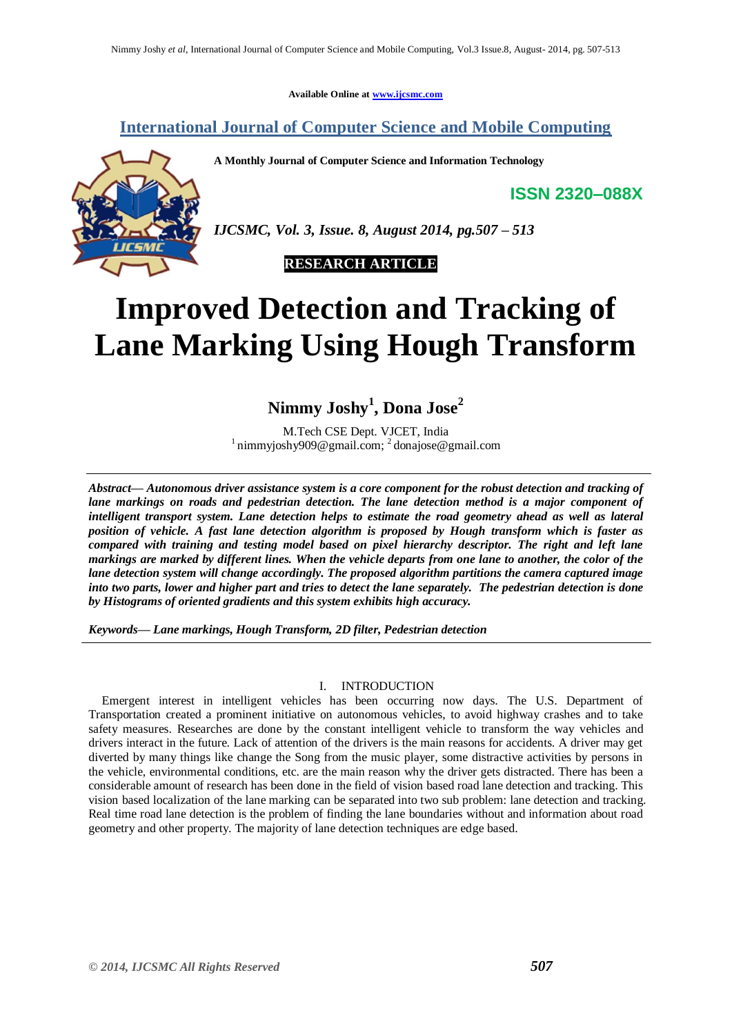**Available Online at [www.ijcsmc.com](http://www.ijcsmc.com/)**

# **International Journal of Computer Science and Mobile Computing**

**A Monthly Journal of Computer Science and Information Technology**

**ISSN 2320–088X**



*IJCSMC, Vol. 3, Issue. 8, August 2014, pg.507 – 513*



# **Improved Detection and Tracking of Lane Marking Using Hough Transform**

**Nimmy Joshy<sup>1</sup> , Dona Jose<sup>2</sup>**

M.Tech CSE Dept. VJCET, India <sup>1</sup> nimmyjoshy909@gmail.com; <sup>2</sup> donajose@gmail.com

*Abstract— Autonomous driver assistance system is a core component for the robust detection and tracking of lane markings on roads and pedestrian detection. The lane detection method is a major component of intelligent transport system. Lane detection helps to estimate the road geometry ahead as well as lateral position of vehicle. A fast lane detection algorithm is proposed by Hough transform which is faster as compared with training and testing model based on pixel hierarchy descriptor. The right and left lane markings are marked by different lines. When the vehicle departs from one lane to another, the color of the lane detection system will change accordingly. The proposed algorithm partitions the camera captured image into two parts, lower and higher part and tries to detect the lane separately. The pedestrian detection is done by Histograms of oriented gradients and this system exhibits high accuracy.*

*Keywords— Lane markings, Hough Transform, 2D filter, Pedestrian detection*

# I. INTRODUCTION

Emergent interest in intelligent vehicles has been occurring now days. The U.S. Department of Transportation created a prominent initiative on autonomous vehicles, to avoid highway crashes and to take safety measures. Researches are done by the constant intelligent vehicle to transform the way vehicles and drivers interact in the future. Lack of attention of the drivers is the main reasons for accidents. A driver may get diverted by many things like change the Song from the music player, some distractive activities by persons in the vehicle, environmental conditions, etc. are the main reason why the driver gets distracted. There has been a considerable amount of research has been done in the field of vision based road lane detection and tracking. This vision based localization of the lane marking can be separated into two sub problem: lane detection and tracking. Real time road lane detection is the problem of finding the lane boundaries without and information about road geometry and other property. The majority of lane detection techniques are edge based.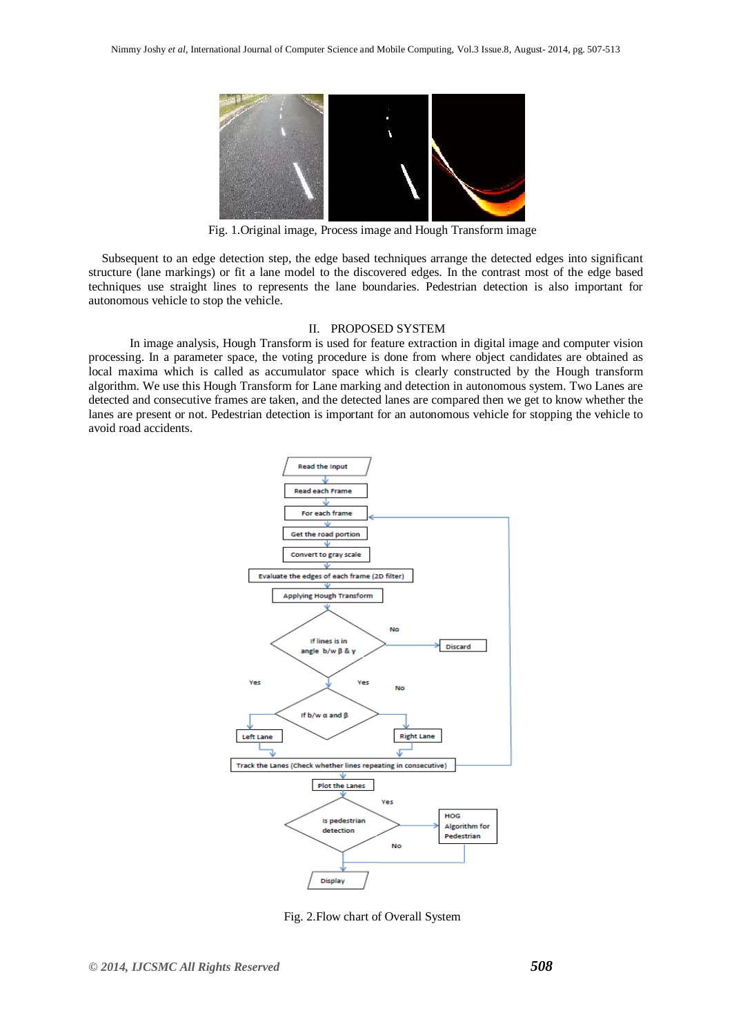

Fig. 1.Original image, Process image and Hough Transform image

Subsequent to an edge detection step, the edge based techniques arrange the detected edges into significant structure (lane markings) or fit a lane model to the discovered edges. In the contrast most of the edge based techniques use straight lines to represents the lane boundaries. Pedestrian detection is also important for autonomous vehicle to stop the vehicle.

# II. PROPOSED SYSTEM

 In image analysis, Hough Transform is used for feature extraction in digital image and computer vision processing. In a parameter space, the voting procedure is done from where object candidates are obtained as local maxima which is called as accumulator space which is clearly constructed by the Hough transform algorithm. We use this Hough Transform for Lane marking and detection in autonomous system. Two Lanes are detected and consecutive frames are taken, and the detected lanes are compared then we get to know whether the lanes are present or not. Pedestrian detection is important for an autonomous vehicle for stopping the vehicle to avoid road accidents.



Fig. 2.Flow chart of Overall System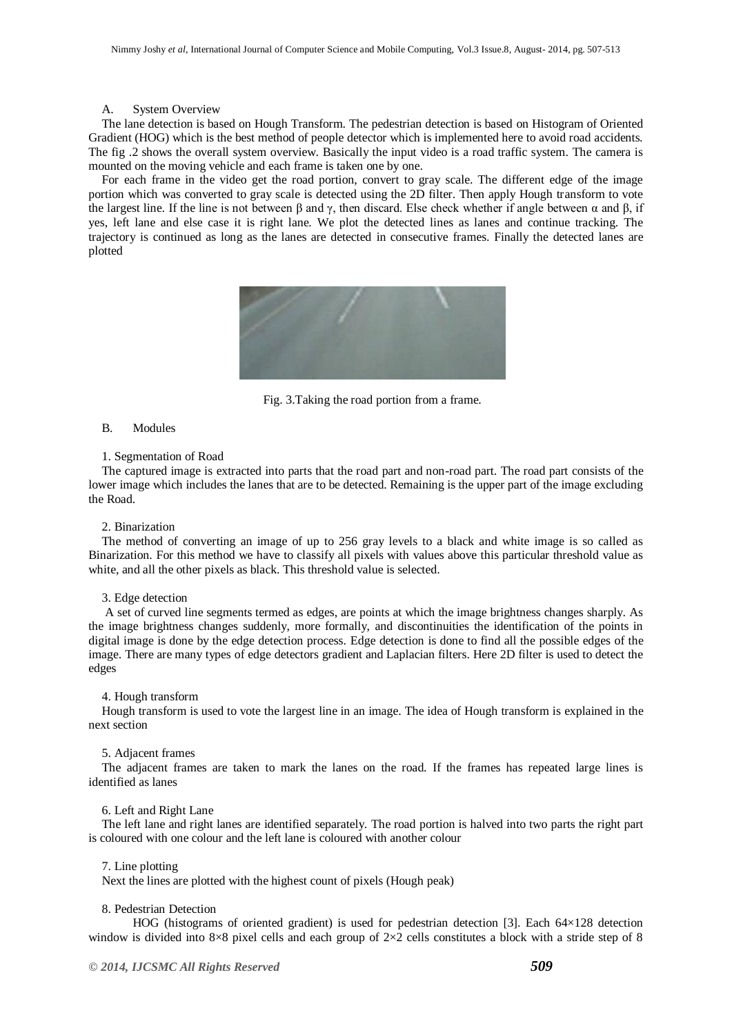#### A. System Overview

The lane detection is based on Hough Transform. The pedestrian detection is based on Histogram of Oriented Gradient (HOG) which is the best method of people detector which is implemented here to avoid road accidents. The fig .2 shows the overall system overview. Basically the input video is a road traffic system. The camera is mounted on the moving vehicle and each frame is taken one by one.

For each frame in the video get the road portion, convert to gray scale. The different edge of the image portion which was converted to gray scale is detected using the 2D filter. Then apply Hough transform to vote the largest line. If the line is not between β and γ, then discard. Else check whether if angle between  $\alpha$  and β, if yes, left lane and else case it is right lane. We plot the detected lines as lanes and continue tracking. The trajectory is continued as long as the lanes are detected in consecutive frames. Finally the detected lanes are plotted



Fig. 3.Taking the road portion from a frame.

# B. Modules

# 1. Segmentation of Road

The captured image is extracted into parts that the road part and non-road part. The road part consists of the lower image which includes the lanes that are to be detected. Remaining is the upper part of the image excluding the Road.

#### 2. Binarization

The method of converting an image of up to 256 gray levels to a black and white image is so called as Binarization. For this method we have to classify all pixels with values above this particular threshold value as white, and all the other pixels as black. This threshold value is selected.

# 3. Edge detection

A set of curved line segments termed as edges, are points at which the image brightness changes sharply. As the image brightness changes suddenly, more formally, and discontinuities the identification of the points in digital image is done by the edge detection process. Edge detection is done to find all the possible edges of the image. There are many types of edge detectors gradient and Laplacian filters. Here 2D filter is used to detect the edges

#### 4. Hough transform

Hough transform is used to vote the largest line in an image. The idea of Hough transform is explained in the next section

## 5. Adjacent frames

The adjacent frames are taken to mark the lanes on the road. If the frames has repeated large lines is identified as lanes

#### 6. Left and Right Lane

The left lane and right lanes are identified separately. The road portion is halved into two parts the right part is coloured with one colour and the left lane is coloured with another colour

#### 7. Line plotting

Next the lines are plotted with the highest count of pixels (Hough peak)

## 8. Pedestrian Detection

HOG (histograms of oriented gradient) is used for pedestrian detection [3]. Each 64×128 detection window is divided into 8×8 pixel cells and each group of 2×2 cells constitutes a block with a stride step of 8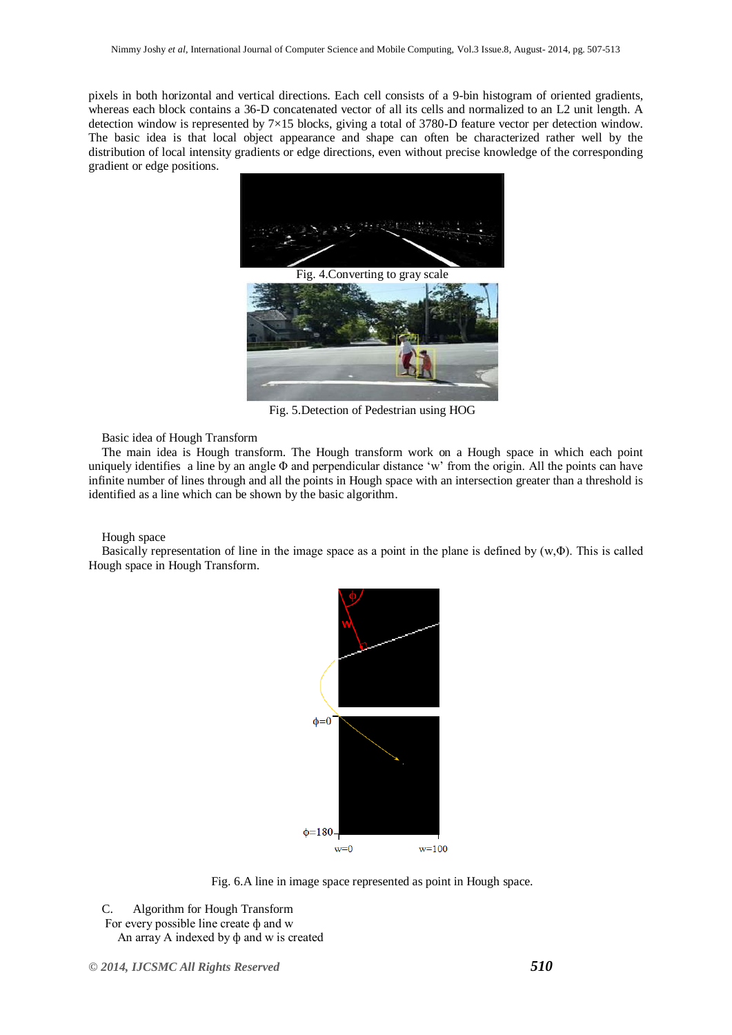pixels in both horizontal and vertical directions. Each cell consists of a 9-bin histogram of oriented gradients, whereas each block contains a 36-D concatenated vector of all its cells and normalized to an L2 unit length. A detection window is represented by 7×15 blocks, giving a total of 3780-D feature vector per detection window. The basic idea is that local object appearance and shape can often be characterized rather well by the distribution of local intensity gradients or edge directions, even without precise knowledge of the corresponding gradient or edge positions.



Fig. 5.Detection of Pedestrian using HOG

Basic idea of Hough Transform

The main idea is Hough transform. The Hough transform work on a Hough space in which each point uniquely identifies a line by an angle  $\Phi$  and perpendicular distance 'w' from the origin. All the points can have infinite number of lines through and all the points in Hough space with an intersection greater than a threshold is identified as a line which can be shown by the basic algorithm.

Hough space

Basically representation of line in the image space as a point in the plane is defined by (w,Φ). This is called Hough space in Hough Transform.



Fig. 6.A line in image space represented as point in Hough space.

C. Algorithm for Hough Transform For every possible line create ф and w An array A indexed by ф and w is created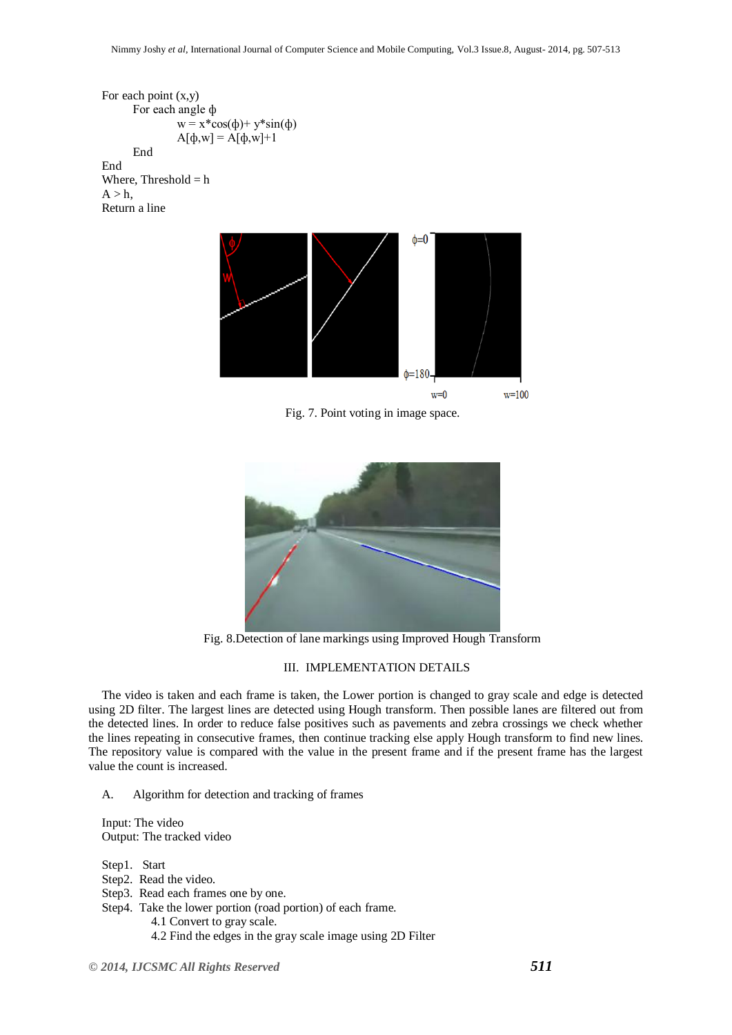```
For each point (x,y)
       For each angle ф
                w = x * cos(\phi) + y * sin(\phi)A[\phi,w] = A[\phi,w]+1End
End
```
Where, Threshold  $= h$  $A > h$ . Return a line



Fig. 7. Point voting in image space.



Fig. 8.Detection of lane markings using Improved Hough Transform

# III. IMPLEMENTATION DETAILS

The video is taken and each frame is taken, the Lower portion is changed to gray scale and edge is detected using 2D filter. The largest lines are detected using Hough transform. Then possible lanes are filtered out from the detected lines. In order to reduce false positives such as pavements and zebra crossings we check whether the lines repeating in consecutive frames, then continue tracking else apply Hough transform to find new lines. The repository value is compared with the value in the present frame and if the present frame has the largest value the count is increased.

A. Algorithm for detection and tracking of frames

Input: The video Output: The tracked video

Step1. Start

- Step2. Read the video.
- Step3. Read each frames one by one.

Step4. Take the lower portion (road portion) of each frame.

- 4.1 Convert to gray scale.
- 4.2 Find the edges in the gray scale image using 2D Filter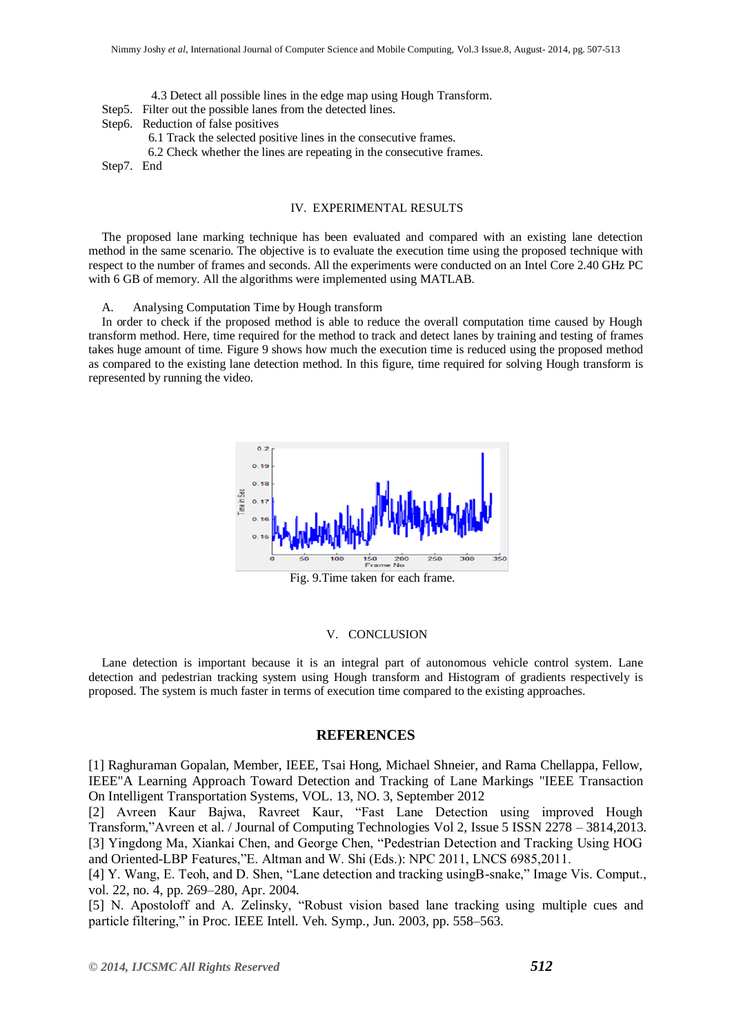- 4.3 Detect all possible lines in the edge map using Hough Transform.
- Step5. Filter out the possible lanes from the detected lines.
- Step6. Reduction of false positives
	- 6.1 Track the selected positive lines in the consecutive frames.
	- 6.2 Check whether the lines are repeating in the consecutive frames.

Step7. End

# IV. EXPERIMENTAL RESULTS

The proposed lane marking technique has been evaluated and compared with an existing lane detection method in the same scenario. The objective is to evaluate the execution time using the proposed technique with respect to the number of frames and seconds. All the experiments were conducted on an Intel Core 2.40 GHz PC with 6 GB of memory. All the algorithms were implemented using MATLAB.

A. Analysing Computation Time by Hough transform

In order to check if the proposed method is able to reduce the overall computation time caused by Hough transform method. Here, time required for the method to track and detect lanes by training and testing of frames takes huge amount of time. Figure 9 shows how much the execution time is reduced using the proposed method as compared to the existing lane detection method. In this figure, time required for solving Hough transform is represented by running the video.



#### V. CONCLUSION

Lane detection is important because it is an integral part of autonomous vehicle control system. Lane detection and pedestrian tracking system using Hough transform and Histogram of gradients respectively is proposed. The system is much faster in terms of execution time compared to the existing approaches.

# **REFERENCES**

[1] Raghuraman Gopalan, Member, IEEE, Tsai Hong, Michael Shneier, and Rama Chellappa, Fellow, IEEE"A Learning Approach Toward Detection and Tracking of Lane Markings "IEEE Transaction On Intelligent Transportation Systems, VOL. 13, NO. 3, September 2012

[2] Avreen Kaur Bajwa, Ravreet Kaur, "Fast Lane Detection using improved Hough Transform,"Avreen et al. / Journal of Computing Technologies Vol 2, Issue 5 ISSN 2278 – 3814,2013. [3] Yingdong Ma, Xiankai Chen, and George Chen, "Pedestrian Detection and Tracking Using HOG and Oriented-LBP Features,"E. Altman and W. Shi (Eds.): NPC 2011, LNCS 6985,2011.

[4] Y. Wang, E. Teoh, and D. Shen, "Lane detection and tracking usingB-snake," Image Vis. Comput., vol. 22, no. 4, pp. 269–280, Apr. 2004.

[5] N. Apostoloff and A. Zelinsky, "Robust vision based lane tracking using multiple cues and particle filtering," in Proc. IEEE Intell. Veh. Symp., Jun. 2003, pp. 558–563.